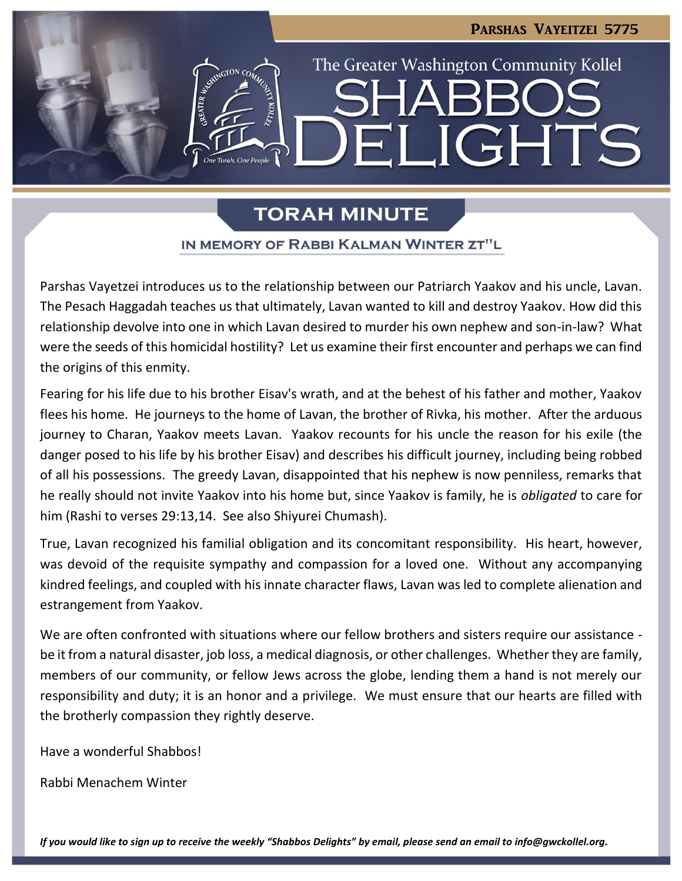# Parshas Vayeitzei 5775 The Greater Washington Community Kollel LIGHTS  $\blacksquare$

### **TORAH MINUTE**

### IN MEMORY OF RABBI KALMAN WINTER ZT"L

Parshas Vayetzei introduces us to the relationship between our Patriarch Yaakov and his uncle, Lavan. The Pesach Haggadah teaches us that ultimately, Lavan wanted to kill and destroy Yaakov. How did this relationship devolve into one in which Lavan desired to murder his own nephew and son-in-law? What were the seeds of this homicidal hostility? Let us examine their first encounter and perhaps we can find the origins of this enmity.

Fearing for his life due to his brother Eisav's wrath, and at the behest of his father and mother, Yaakov flees his home. He journeys to the home of Lavan, the brother of Rivka, his mother. After the arduous journey to Charan, Yaakov meets Lavan. Yaakov recounts for his uncle the reason for his exile (the danger posed to his life by his brother Eisav) and describes his difficult journey, including being robbed of all his possessions. The greedy Lavan, disappointed that his nephew is now penniless, remarks that he really should not invite Yaakov into his home but, since Yaakov is family, he is *obligated* to care for him (Rashi to verses 29:13,14. See also Shiyurei Chumash).

True, Lavan recognized his familial obligation and its concomitant responsibility. His heart, however, was devoid of the requisite sympathy and compassion for a loved one. Without any accompanying kindred feelings, and coupled with his innate character flaws, Lavan was led to complete alienation and estrangement from Yaakov.

We are often confronted with situations where our fellow brothers and sisters require our assistance be it from a natural disaster, job loss, a medical diagnosis, or other challenges. Whether they are family, members of our community, or fellow Jews across the globe, lending them a hand is not merely our responsibility and duty; it is an honor and a privilege. We must ensure that our hearts are filled with the brotherly compassion they rightly deserve.

Have a wonderful Shabbos!

Rabbi Menachem Winter